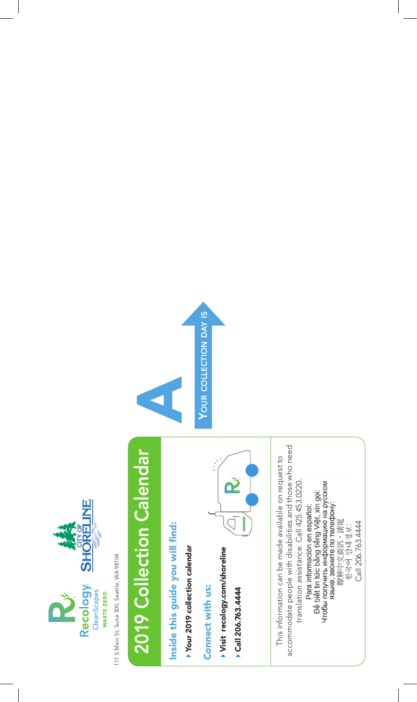

117 S Main St, Suite 300, Seattle, WA 98104 117 S Main St, Suite 300, Seattle, WA 98104

## 2019 Collection Calendar 2019 Collection Calendar

Inside this guide you will find: Inside this guide you will find:

Your 2019 collection calendar Your 2019 collection calendar

Connect with us: Connect with us:

- Visit recology.com/shoreline Visit recology.com/shoreline
- ≛ Call 206.763.4444



accommodate people with disabilities and those who need accommodate people with disabilities and those who need This information can be made available on request to This information can be made available on request to translation assistance. Call 425.453.0220. translation assistance. Call 425.453.0220. Чтобы получить информацию на русском<br>языке, звоните по телефону: Để biết tin tức bằng tiếng Việt, xin gọi: Para información en español: 瞭解中文資訊,請電<br>한국어 안내정보:

Call 206.763.4444

Call 206.763.4444